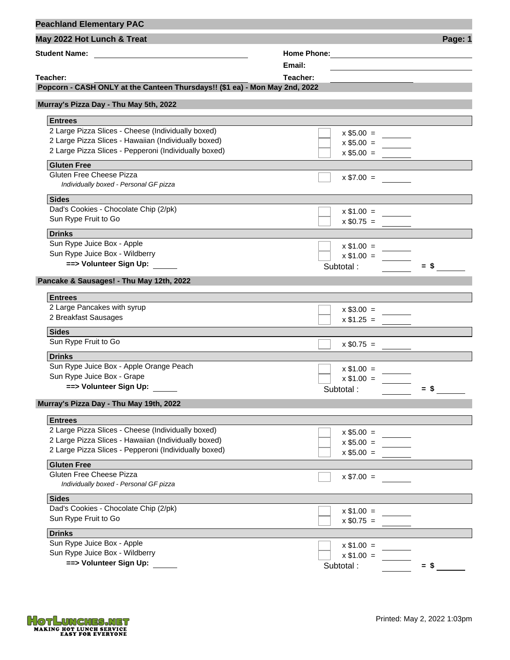| <b>Peachland Elementary PAC</b>                                             |                |         |
|-----------------------------------------------------------------------------|----------------|---------|
| May 2022 Hot Lunch & Treat                                                  |                | Page: 1 |
|                                                                             |                |         |
|                                                                             | Email:         |         |
| Teacher:                                                                    | Teacher:       |         |
| Popcorn - CASH ONLY at the Canteen Thursdays!! (\$1 ea) - Mon May 2nd, 2022 |                |         |
| Murray's Pizza Day - Thu May 5th, 2022                                      |                |         |
| <b>Entrees</b>                                                              |                |         |
| 2 Large Pizza Slices - Cheese (Individually boxed)                          | $x$ \$5.00 =   |         |
| 2 Large Pizza Slices - Hawaiian (Individually boxed)                        | $x $5.00 = \_$ |         |
| 2 Large Pizza Slices - Pepperoni (Individually boxed)                       | $x $5.00 =$    |         |
| <b>Gluten Free</b>                                                          |                |         |
| Gluten Free Cheese Pizza<br>Individually boxed - Personal GF pizza          | $x $7.00 =$    |         |
| <b>Sides</b>                                                                |                |         |
| Dad's Cookies - Chocolate Chip (2/pk)                                       | $x $1.00 =$    |         |
| Sun Rype Fruit to Go                                                        | $x $0.75 =$    |         |
| <b>Drinks</b>                                                               |                |         |
| Sun Rype Juice Box - Apple                                                  | $x \$1.00 =$   |         |
| Sun Rype Juice Box - Wildberry                                              | $x $1.00 =$    |         |
| ==> Volunteer Sign Up:                                                      | Subtotal:      | $=$ \$  |
| Pancake & Sausages! - Thu May 12th, 2022                                    |                |         |
|                                                                             |                |         |
| <b>Entrees</b>                                                              |                |         |
| 2 Large Pancakes with syrup                                                 | $x $3.00 =$    |         |
| 2 Breakfast Sausages                                                        | $x $1.25 =$    |         |
| <b>Sides</b>                                                                |                |         |
| Sun Rype Fruit to Go                                                        | $x $0.75 = \_$ |         |
| <b>Drinks</b>                                                               |                |         |
| Sun Rype Juice Box - Apple Orange Peach                                     | $x $1.00 =$    |         |
| Sun Rype Juice Box - Grape                                                  | $x $1.00 =$    |         |
| ==> Volunteer Sign Up:                                                      | Subtotal:      | $=$ S   |
| Murray's Pizza Day - Thu May 19th, 2022                                     |                |         |
| <b>Entrees</b>                                                              |                |         |
| 2 Large Pizza Slices - Cheese (Individually boxed)                          | $x $5.00 =$    |         |
| 2 Large Pizza Slices - Hawaiian (Individually boxed)                        | $x $5.00 =$    |         |
| 2 Large Pizza Slices - Pepperoni (Individually boxed)                       | $x $5.00 =$    |         |
| <b>Gluten Free</b>                                                          |                |         |
| Gluten Free Cheese Pizza                                                    |                |         |
| Individually boxed - Personal GF pizza                                      | $x $7.00 =$    |         |
| <b>Sides</b>                                                                |                |         |
| Dad's Cookies - Chocolate Chip (2/pk)                                       | $x$ \$1.00 =   |         |
| Sun Rype Fruit to Go                                                        | $x $0.75 =$    |         |
| <b>Drinks</b>                                                               |                |         |
| Sun Rype Juice Box - Apple                                                  | $x $1.00 =$    |         |
| Sun Rype Juice Box - Wildberry                                              | $x $1.00 =$    |         |
| ==> Volunteer Sign Up:                                                      | Subtotal:      | $=$ \$  |